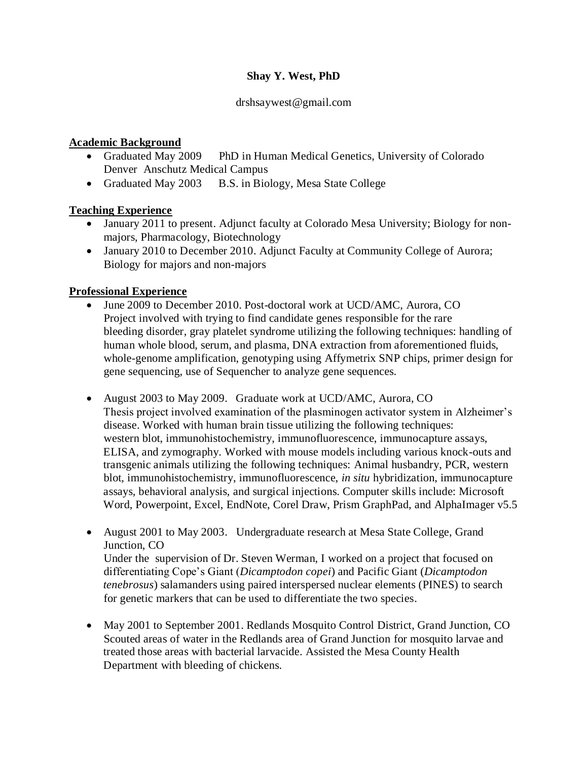# **Shay Y. West, PhD**

#### drshsaywest@gmail.com

### **Academic Background**

- Graduated May 2009 PhD in Human Medical Genetics, University of Colorado Denver Anschutz Medical Campus
- Graduated May 2003B.S. in Biology, Mesa State College

# **Teaching Experience**

- January 2011 to present. Adjunct faculty at Colorado Mesa University; Biology for nonmajors, Pharmacology, Biotechnology
- January 2010 to December 2010. Adjunct Faculty at Community College of Aurora; Biology for majors and non-majors

#### **Professional Experience**

- June 2009 to December 2010. Post-doctoral work at UCD/AMC, Aurora, CO Project involved with trying to find candidate genes responsible for the rare bleeding disorder, gray platelet syndrome utilizing the following techniques: handling of human whole blood, serum, and plasma, DNA extraction from aforementioned fluids, whole-genome amplification, genotyping using Affymetrix SNP chips, primer design for gene sequencing, use of Sequencher to analyze gene sequences.
- August 2003 to May 2009. Graduate work at UCD/AMC, Aurora, CO Thesis project involved examination of the plasminogen activator system in Alzheimer's disease. Worked with human brain tissue utilizing the following techniques: western blot, immunohistochemistry, immunofluorescence, immunocapture assays, ELISA, and zymography. Worked with mouse models including various knock-outs and transgenic animals utilizing the following techniques: Animal husbandry, PCR, western blot, immunohistochemistry, immunofluorescence, *in situ* hybridization, immunocapture assays, behavioral analysis, and surgical injections. Computer skills include: Microsoft Word, Powerpoint, Excel, EndNote, Corel Draw, Prism GraphPad, and AlphaImager v5.5
- August 2001 to May 2003. Undergraduate research at Mesa State College, Grand Junction, CO Under the supervision of Dr. Steven Werman, I worked on a project that focused on differentiating Cope's Giant (*Dicamptodon copei*) and Pacific Giant (*Dicamptodon tenebrosus*) salamanders using paired interspersed nuclear elements (PINES) to search for genetic markers that can be used to differentiate the two species.
- May 2001 to September 2001. Redlands Mosquito Control District, Grand Junction, CO Scouted areas of water in the Redlands area of Grand Junction for mosquito larvae and treated those areas with bacterial larvacide. Assisted the Mesa County Health Department with bleeding of chickens.